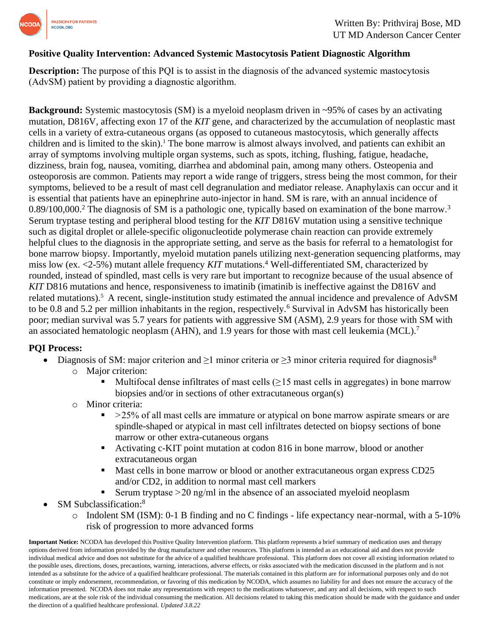

## **Positive Quality Intervention: Advanced Systemic Mastocytosis Patient Diagnostic Algorithm**

**Description:** The purpose of this POI is to assist in the diagnosis of the advanced systemic mastocytosis (AdvSM) patient by providing a diagnostic algorithm.

**Background:** Systemic mastocytosis (SM) is a myeloid neoplasm driven in ~95% of cases by an activating mutation, D816V, affecting exon 17 of the *KIT* gene, and characterized by the accumulation of neoplastic mast cells in a variety of extra-cutaneous organs (as opposed to cutaneous mastocytosis, which generally affects children and is limited to the skin). <sup>1</sup> The bone marrow is almost always involved, and patients can exhibit an array of symptoms involving multiple organ systems, such as spots, itching, flushing, fatigue, headache, dizziness, brain fog, nausea, vomiting, diarrhea and abdominal pain, among many others. Osteopenia and osteoporosis are common. Patients may report a wide range of triggers, stress being the most common, for their symptoms, believed to be a result of mast cell degranulation and mediator release. Anaphylaxis can occur and it is essential that patients have an epinephrine auto-injector in hand. SM is rare, with an annual incidence of 0.89/100,000.<sup>2</sup> The diagnosis of SM is a pathologic one, typically based on examination of the bone marrow.<sup>3</sup> Serum tryptase testing and peripheral blood testing for the *KIT* D816V mutation using a sensitive technique such as digital droplet or allele-specific oligonucleotide polymerase chain reaction can provide extremely helpful clues to the diagnosis in the appropriate setting, and serve as the basis for referral to a hematologist for bone marrow biopsy. Importantly, myeloid mutation panels utilizing next-generation sequencing platforms, may miss low (ex. <2-5%) mutant allele frequency *KIT* mutations.<sup>4</sup> Well-differentiated SM, characterized by rounded, instead of spindled, mast cells is very rare but important to recognize because of the usual absence of *KIT* D816 mutations and hence, responsiveness to imatinib (imatinib is ineffective against the D816V and related mutations).<sup>5</sup> A recent, single-institution study estimated the annual incidence and prevalence of AdvSM to be 0.8 and 5.2 per million inhabitants in the region, respectively.<sup>6</sup> Survival in AdvSM has historically been poor; median survival was 5.7 years for patients with aggressive SM (ASM), 2.9 years for those with SM with an associated hematologic neoplasm (AHN), and 1.9 years for those with mast cell leukemia (MCL).<sup>7</sup>

### **PQI Process:**

- Diagnosis of SM: major criterion and  $\geq 1$  minor criteria or  $\geq 3$  minor criteria required for diagnosis<sup>8</sup>
	- o Major criterion:
		- Multifocal dense infiltrates of mast cells  $(≥15$  mast cells in aggregates) in bone marrow biopsies and/or in sections of other extracutaneous organ(s)
	- o Minor criteria:
		- $\approx$   $>$  25% of all mast cells are immature or atypical on bone marrow aspirate smears or are spindle-shaped or atypical in mast cell infiltrates detected on biopsy sections of bone marrow or other extra-cutaneous organs
		- Activating c-KIT point mutation at codon 816 in bone marrow, blood or another extracutaneous organ
		- Mast cells in bone marrow or blood or another extracutaneous organ express CD25 and/or CD2, in addition to normal mast cell markers
		- Serum tryptase  $>$  20 ng/ml in the absence of an associated myeloid neoplasm
- SM Subclassification:<sup>8</sup>
	- o Indolent SM (ISM): 0-1 B finding and no C findings life expectancy near-normal, with a 5-10% risk of progression to more advanced forms

**Important Notice:** NCODA has developed this Positive Quality Intervention platform. This platform represents a brief summary of medication uses and therapy options derived from information provided by the drug manufacturer and other resources. This platform is intended as an educational aid and does not provide individual medical advice and does not substitute for the advice of a qualified healthcare professional. This platform does not cover all existing information related to the possible uses, directions, doses, precautions, warning, interactions, adverse effects, or risks associated with the medication discussed in the platform and is not intended as a substitute for the advice of a qualified healthcare professional. The materials contained in this platform are for informational purposes only and do not constitute or imply endorsement, recommendation, or favoring of this medication by NCODA, which assumes no liability for and does not ensure the accuracy of the information presented. NCODA does not make any representations with respect to the medications whatsoever, and any and all decisions, with respect to such medications, are at the sole risk of the individual consuming the medication. All decisions related to taking this medication should be made with the guidance and under the direction of a qualified healthcare professional. *Updated 3.8.22*